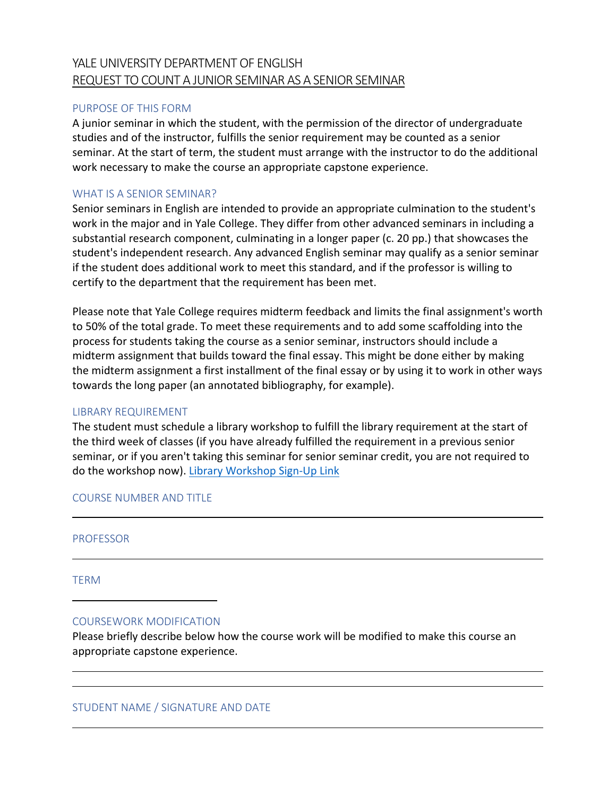# YALE UNIVERSITY DEPARTMENT OF ENGLISH REQUEST TO COUNT A JUNIOR SEMINAR AS A SENIOR SEMINAR

# PURPOSE OF THIS FORM

A junior seminar in which the student, with the permission of the director of undergraduate studies and of the instructor, fulfills the senior requirement may be counted as a senior seminar. At the start of term, the student must arrange with the instructor to do the additional work necessary to make the course an appropriate capstone experience.

## WHAT IS A SENIOR SEMINAR?

Senior seminars in English are intended to provide an appropriate culmination to the student's work in the major and in Yale College. They differ from other advanced seminars in including a substantial research component, culminating in a longer paper (c. 20 pp.) that showcases the student's independent research. Any advanced English seminar may qualify as a senior seminar if the student does additional work to meet this standard, and if the professor is willing to certify to the department that the requirement has been met.

Please note that Yale College requires midterm feedback and limits the final assignment's worth to 50% of the total grade. To meet these requirements and to add some scaffolding into the process for students taking the course as a senior seminar, instructors should include a midterm assignment that builds toward the final essay. This might be done either by making the midterm assignment a first installment of the final essay or by using it to work in other ways towards the long paper (an annotated bibliography, for example).

## LIBRARY REQUIREMENT

The student must schedule a library workshop to fulfill the library requirement at the start of the third week of classes (if you have already fulfilled the requirement in a previous senior seminar, or if you aren't taking this seminar for senior seminar credit, you are not required to do the workshop now). [Library Workshop Sign-Up Link](https://schedule.yale.edu/calendar/EnglishLibraryWorkshop)

## COURSE NUMBER AND TITLE

PROFESSOR

TERM

l

l

l

## COURSEWORK MODIFICATION

Please briefly describe below how the course work will be modified to make this course an appropriate capstone experience.

STUDENT NAME / SIGNATURE AND DATE

l